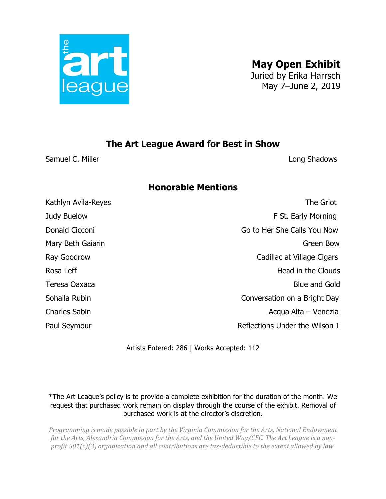

**May Open Exhibit**

Juried by Erika Harrsch May 7–June 2, 2019

## **The Art League Award for Best in Show**

Samuel C. Miller **Long Shadows** 

## **Honorable Mentions**

Kathlyn Avila-Reyes **The Griot** Judy Buelow F St. Early Morning Donald Cicconi Go to Her She Calls You Now Mary Beth Gaiarin Green Bow Ray Goodrow Cadillac at Village Cigars Rosa Leff **Head in the Clouds** Teresa Oaxaca Blue and Gold Sohaila Rubin Conversation on a Bright Day Charles Sabin **Acqua Alta – Venezia** Paul Seymour **Paul Seymour Reflections Under the Wilson I** 

Artists Entered: 286 | Works Accepted: 112

\*The Art League's policy is to provide a complete exhibition for the duration of the month. We request that purchased work remain on display through the course of the exhibit. Removal of purchased work is at the director's discretion.

*Programming is made possible in part by the Virginia Commission for the Arts, National Endowment* for the Arts, Alexandria Commission for the Arts, and the United Way/CFC. The Art League is a non*profit*  $501(c)(3)$  organization and all contributions are tax-deductible to the extent allowed by law.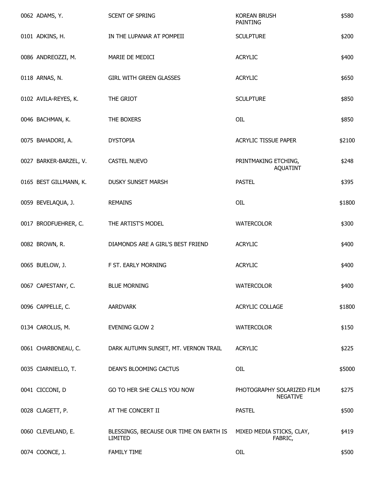| 0062 ADAMS, Y.         | <b>SCENT OF SPRING</b>                             | <b>KOREAN BRUSH</b><br><b>PAINTING</b>        | \$580  |
|------------------------|----------------------------------------------------|-----------------------------------------------|--------|
| 0101 ADKINS, H.        | IN THE LUPANAR AT POMPEII                          | <b>SCULPTURE</b>                              | \$200  |
| 0086 ANDREOZZI, M.     | MARIE DE MEDICI                                    | <b>ACRYLIC</b>                                | \$400  |
| 0118 ARNAS, N.         | <b>GIRL WITH GREEN GLASSES</b>                     | <b>ACRYLIC</b>                                | \$650  |
| 0102 AVILA-REYES, K.   | THE GRIOT                                          | <b>SCULPTURE</b>                              | \$850  |
| 0046 BACHMAN, K.       | THE BOXERS                                         | OIL                                           | \$850  |
| 0075 BAHADORI, A.      | <b>DYSTOPIA</b>                                    | ACRYLIC TISSUE PAPER                          | \$2100 |
| 0027 BARKER-BARZEL, V. | <b>CASTEL NUEVO</b>                                | PRINTMAKING ETCHING,<br><b>AQUATINT</b>       | \$248  |
| 0165 BEST GILLMANN, K. | <b>DUSKY SUNSET MARSH</b>                          | <b>PASTEL</b>                                 | \$395  |
| 0059 BEVELAQUA, J.     | <b>REMAINS</b>                                     | OIL                                           | \$1800 |
| 0017 BRODFUEHRER, C.   | THE ARTIST'S MODEL                                 | <b>WATERCOLOR</b>                             | \$300  |
| 0082 BROWN, R.         | DIAMONDS ARE A GIRL'S BEST FRIEND                  | <b>ACRYLIC</b>                                | \$400  |
| 0065 BUELOW, J.        | F ST. EARLY MORNING                                | <b>ACRYLIC</b>                                | \$400  |
| 0067 CAPESTANY, C.     | <b>BLUE MORNING</b>                                | <b>WATERCOLOR</b>                             | \$400  |
| 0096 CAPPELLE, C.      | AARDVARK                                           | ACRYLIC COLLAGE                               | \$1800 |
| 0134 CAROLUS, M.       | <b>EVENING GLOW 2</b>                              | <b>WATERCOLOR</b>                             | \$150  |
| 0061 CHARBONEAU, C.    | DARK AUTUMN SUNSET, MT. VERNON TRAIL               | <b>ACRYLIC</b>                                | \$225  |
| 0035 CIARNIELLO, T.    | DEAN'S BLOOMING CACTUS                             | OIL                                           | \$5000 |
| 0041 CICCONI, D        | GO TO HER SHE CALLS YOU NOW                        | PHOTOGRAPHY SOLARIZED FILM<br><b>NEGATIVE</b> | \$275  |
| 0028 CLAGETT, P.       | AT THE CONCERT II                                  | <b>PASTEL</b>                                 | \$500  |
| 0060 CLEVELAND, E.     | BLESSINGS, BECAUSE OUR TIME ON EARTH IS<br>LIMITED | MIXED MEDIA STICKS, CLAY,<br>FABRIC,          | \$419  |
| 0074 COONCE, J.        | <b>FAMILY TIME</b>                                 | OIL                                           | \$500  |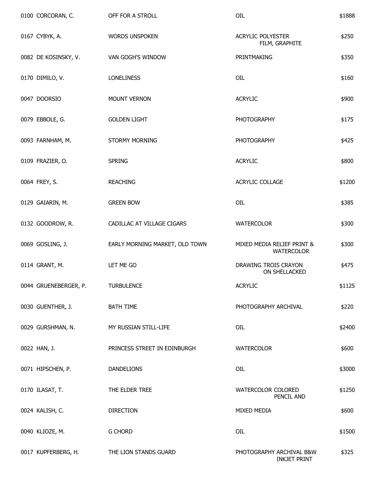| 0100 CORCORAN, C.     | OFF FOR A STROLL               | OIL                                             | \$1888 |
|-----------------------|--------------------------------|-------------------------------------------------|--------|
| 0167 CYBYK, A.        | <b>WORDS UNSPOKEN</b>          | <b>ACRYLIC POLYESTER</b><br>FILM, GRAPHITE      | \$250  |
| 0082 DE KOSINSKY, V.  | <b>VAN GOGH'S WINDOW</b>       | PRINTMAKING                                     | \$350  |
| 0170 DIMILO, V.       | <b>LONELINESS</b>              | OIL                                             | \$160  |
| 0047 DOORSIO          | MOUNT VERNON                   | <b>ACRYLIC</b>                                  | \$900  |
| 0079 EBBOLE, G.       | <b>GOLDEN LIGHT</b>            | <b>PHOTOGRAPHY</b>                              | \$175  |
| 0093 FARNHAM, M.      | <b>STORMY MORNING</b>          | <b>PHOTOGRAPHY</b>                              | \$425  |
| 0109 FRAZIER, O.      | <b>SPRING</b>                  | <b>ACRYLIC</b>                                  | \$800  |
| 0064 FREY, S.         | <b>REACHING</b>                | ACRYLIC COLLAGE                                 | \$1200 |
| 0129 GAIARIN, M.      | <b>GREEN BOW</b>               | OIL                                             | \$385  |
| 0132 GOODROW, R.      | CADILLAC AT VILLAGE CIGARS     | <b>WATERCOLOR</b>                               | \$300  |
| 0069 GOSLING, J.      | EARLY MORNING MARKET, OLD TOWN | MIXED MEDIA RELIEF PRINT &<br><b>WATERCOLOR</b> | \$300  |
| 0114 GRANT, M.        | LET ME GO                      | DRAWING TROIS CRAYON<br>ON SHELLACKED           | \$475  |
| 0044 GRUENEBERGER, P. | <b>TURBULENCE</b>              | <b>ACRYLIC</b>                                  | \$1125 |
| 0030 GUENTHER, J.     | <b>BATH TIME</b>               | PHOTOGRAPHY ARCHIVAL                            | \$220  |
| 0029 GURSHMAN, N.     | MY RUSSIAN STILL-LIFE          | OIL                                             | \$2400 |
| 0022 HAN, J.          | PRINCESS STREET IN EDINBURGH   | <b>WATERCOLOR</b>                               | \$600  |
| 0071 HIPSCHEN, P.     | <b>DANDELIONS</b>              | OIL                                             | \$3000 |
| 0170 ILASAT, T.       | THE ELDER TREE                 | WATERCOLOR COLORED<br>PENCIL AND                | \$1250 |
| 0024 KALISH, C.       | <b>DIRECTION</b>               | <b>MIXED MEDIA</b>                              | \$600  |
| 0040 KLIOZE, M.       | <b>G CHORD</b>                 | OIL                                             | \$1500 |
| 0017 KUPFERBERG, H.   | THE LION STANDS GUARD          | PHOTOGRAPHY ARCHIVAL B&W<br><b>INKJET PRINT</b> | \$325  |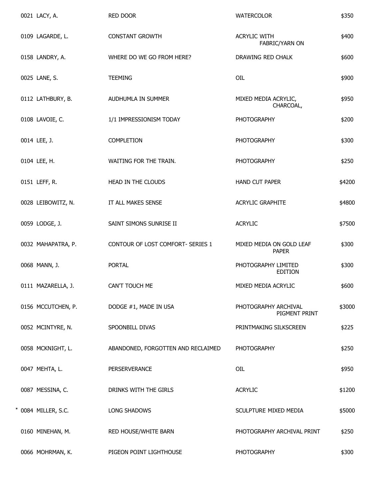|  | 0021 LACY, A.       | RED DOOR                           | <b>WATERCOLOR</b>                        | \$350  |
|--|---------------------|------------------------------------|------------------------------------------|--------|
|  | 0109 LAGARDE, L.    | <b>CONSTANT GROWTH</b>             | <b>ACRYLIC WITH</b><br>FABRIC/YARN ON    | \$400  |
|  | 0158 LANDRY, A.     | WHERE DO WE GO FROM HERE?          | DRAWING RED CHALK                        | \$600  |
|  | 0025 LANE, S.       | <b>TEEMING</b>                     | OIL                                      | \$900  |
|  | 0112 LATHBURY, B.   | AUDHUMLA IN SUMMER                 | MIXED MEDIA ACRYLIC,<br>CHARCOAL,        | \$950  |
|  | 0108 LAVOIE, C.     | 1/1 IMPRESSIONISM TODAY            | <b>PHOTOGRAPHY</b>                       | \$200  |
|  | 0014 LEE, J.        | COMPLETION                         | <b>PHOTOGRAPHY</b>                       | \$300  |
|  | 0104 LEE, H.        | WAITING FOR THE TRAIN.             | <b>PHOTOGRAPHY</b>                       | \$250  |
|  | 0151 LEFF, R.       | HEAD IN THE CLOUDS                 | HAND CUT PAPER                           | \$4200 |
|  | 0028 LEIBOWITZ, N.  | IT ALL MAKES SENSE                 | <b>ACRYLIC GRAPHITE</b>                  | \$4800 |
|  | 0059 LODGE, J.      | SAINT SIMONS SUNRISE II            | <b>ACRYLIC</b>                           | \$7500 |
|  | 0032 MAHAPATRA, P.  | CONTOUR OF LOST COMFORT- SERIES 1  | MIXED MEDIA ON GOLD LEAF<br><b>PAPER</b> | \$300  |
|  | 0068 MANN, J.       | <b>PORTAL</b>                      | PHOTOGRAPHY LIMITED<br><b>EDITION</b>    | \$300  |
|  | 0111 MAZARELLA, J.  | CAN'T TOUCH ME                     | MIXED MEDIA ACRYLIC                      | \$600  |
|  | 0156 MCCUTCHEN, P.  | DODGE #1, MADE IN USA              | PHOTOGRAPHY ARCHIVAL<br>PIGMENT PRINT    | \$3000 |
|  | 0052 MCINTYRE, N.   | SPOONBILL DIVAS                    | PRINTMAKING SILKSCREEN                   | \$225  |
|  | 0058 MCKNIGHT, L.   | ABANDONED, FORGOTTEN AND RECLAIMED | <b>PHOTOGRAPHY</b>                       | \$250  |
|  | 0047 MEHTA, L.      | PERSERVERANCE                      | OIL                                      | \$950  |
|  | 0087 MESSINA, C.    | DRINKS WITH THE GIRLS              | <b>ACRYLIC</b>                           | \$1200 |
|  | * 0084 MILLER, S.C. | LONG SHADOWS                       | SCULPTURE MIXED MEDIA                    | \$5000 |
|  | 0160 MINEHAN, M.    | RED HOUSE/WHITE BARN               | PHOTOGRAPHY ARCHIVAL PRINT               | \$250  |
|  | 0066 MOHRMAN, K.    | PIGEON POINT LIGHTHOUSE            | <b>PHOTOGRAPHY</b>                       | \$300  |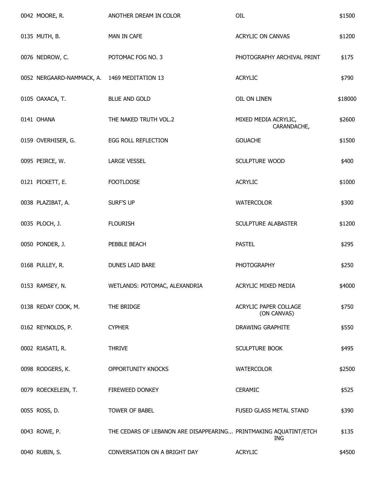| 0042 MOORE, R.                               | ANOTHER DREAM IN COLOR                                           | OIL                                  | \$1500  |
|----------------------------------------------|------------------------------------------------------------------|--------------------------------------|---------|
| 0135 MUTH, B.                                | MAN IN CAFE                                                      | ACRYLIC ON CANVAS                    | \$1200  |
| 0076 NEDROW, C.                              | POTOMAC FOG NO. 3                                                | PHOTOGRAPHY ARCHIVAL PRINT           | \$175   |
| 0052 NERGAARD-NAMMACK, A. 1469 MEDITATION 13 |                                                                  | <b>ACRYLIC</b>                       | \$790   |
| 0105 OAXACA, T.                              | <b>BLUE AND GOLD</b>                                             | OIL ON LINEN                         | \$18000 |
| 0141 OHANA                                   | THE NAKED TRUTH VOL.2                                            | MIXED MEDIA ACRYLIC,<br>CARANDACHE,  | \$2600  |
| 0159 OVERHISER, G.                           | <b>EGG ROLL REFLECTION</b>                                       | <b>GOUACHE</b>                       | \$1500  |
| 0095 PEIRCE, W.                              | <b>LARGE VESSEL</b>                                              | <b>SCULPTURE WOOD</b>                | \$400   |
| 0121 PICKETT, E.                             | <b>FOOTLOOSE</b>                                                 | <b>ACRYLIC</b>                       | \$1000  |
| 0038 PLAZIBAT, A.                            | SURF'S UP                                                        | <b>WATERCOLOR</b>                    | \$300   |
| 0035 PLOCH, J.                               | <b>FLOURISH</b>                                                  | SCULPTURE ALABASTER                  | \$1200  |
| 0050 PONDER, J.                              | PEBBLE BEACH                                                     | <b>PASTEL</b>                        | \$295   |
| 0168 PULLEY, R.                              | DUNES LAID BARE                                                  | <b>PHOTOGRAPHY</b>                   | \$250   |
| 0153 RAMSEY, N.                              | WETLANDS: POTOMAC, ALEXANDRIA                                    | ACRYLIC MIXED MEDIA                  | \$4000  |
| 0138 REDAY COOK, M.                          | THE BRIDGE                                                       | ACRYLIC PAPER COLLAGE<br>(ON CANVAS) | \$750   |
| 0162 REYNOLDS, P.                            | <b>CYPHER</b>                                                    | DRAWING GRAPHITE                     | \$550   |
| 0002 RIASATI, R.                             | <b>THRIVE</b>                                                    | <b>SCULPTURE BOOK</b>                | \$495   |
| 0098 RODGERS, K.                             | OPPORTUNITY KNOCKS                                               | <b>WATERCOLOR</b>                    | \$2500  |
| 0079 ROECKELEIN, T.                          | FIREWEED DONKEY                                                  | <b>CERAMIC</b>                       | \$525   |
| 0055 ROSS, D.                                | TOWER OF BABEL                                                   | FUSED GLASS METAL STAND              | \$390   |
| 0043 ROWE, P.                                | THE CEDARS OF LEBANON ARE DISAPPEARING PRINTMAKING AQUATINT/ETCH | ING                                  | \$135   |
| 0040 RUBIN, S.                               | CONVERSATION ON A BRIGHT DAY                                     | <b>ACRYLIC</b>                       | \$4500  |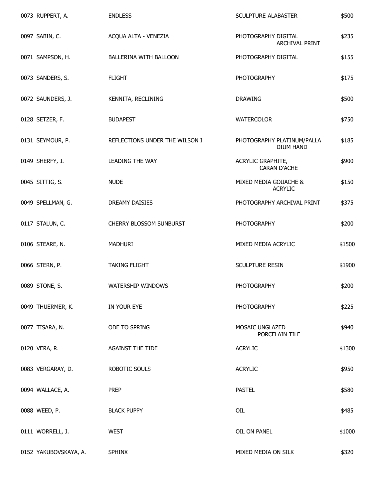| 0073 RUPPERT, A.      | <b>ENDLESS</b>                 | SCULPTURE ALABASTER                            | \$500  |
|-----------------------|--------------------------------|------------------------------------------------|--------|
| 0097 SABIN, C.        | ACQUA ALTA - VENEZIA           | PHOTOGRAPHY DIGITAL<br>ARCHIVAL PRINT          | \$235  |
| 0071 SAMPSON, H.      | <b>BALLERINA WITH BALLOON</b>  | PHOTOGRAPHY DIGITAL                            | \$155  |
| 0073 SANDERS, S.      | <b>FLIGHT</b>                  | <b>PHOTOGRAPHY</b>                             | \$175  |
| 0072 SAUNDERS, J.     | KENNITA, RECLINING             | <b>DRAWING</b>                                 | \$500  |
| 0128 SETZER, F.       | <b>BUDAPEST</b>                | WATERCOLOR                                     | \$750  |
| 0131 SEYMOUR, P.      | REFLECTIONS UNDER THE WILSON I | PHOTOGRAPHY PLATINUM/PALLA<br><b>DIUM HAND</b> | \$185  |
| 0149 SHERFY, J.       | <b>LEADING THE WAY</b>         | ACRYLIC GRAPHITE,<br><b>CARAN D'ACHE</b>       | \$900  |
| 0045 SITTIG, S.       | <b>NUDE</b>                    | MIXED MEDIA GOUACHE &<br><b>ACRYLIC</b>        | \$150  |
| 0049 SPELLMAN, G.     | DREAMY DAISIES                 | PHOTOGRAPHY ARCHIVAL PRINT                     | \$375  |
| 0117 STALUN, C.       | CHERRY BLOSSOM SUNBURST        | <b>PHOTOGRAPHY</b>                             | \$200  |
| 0106 STEARE, N.       | MADHURI                        | MIXED MEDIA ACRYLIC                            | \$1500 |
| 0066 STERN, P.        | <b>TAKING FLIGHT</b>           | SCULPTURE RESIN                                | \$1900 |
| 0089 STONE, S.        | WATERSHIP WINDOWS              | <b>PHOTOGRAPHY</b>                             | \$200  |
| 0049 THUERMER, K.     | IN YOUR EYE                    | <b>PHOTOGRAPHY</b>                             | \$225  |
| 0077 TISARA, N.       | ODE TO SPRING                  | MOSAIC UNGLAZED<br>PORCELAIN TILE              | \$940  |
| 0120 VERA, R.         | <b>AGAINST THE TIDE</b>        | <b>ACRYLIC</b>                                 | \$1300 |
| 0083 VERGARAY, D.     | ROBOTIC SOULS                  | <b>ACRYLIC</b>                                 | \$950  |
| 0094 WALLACE, A.      | <b>PREP</b>                    | <b>PASTEL</b>                                  | \$580  |
| 0088 WEED, P.         | <b>BLACK PUPPY</b>             | OIL                                            | \$485  |
| 0111 WORRELL, J.      | <b>WEST</b>                    | OIL ON PANEL                                   | \$1000 |
| 0152 YAKUBOVSKAYA, A. | <b>SPHINX</b>                  | MIXED MEDIA ON SILK                            | \$320  |